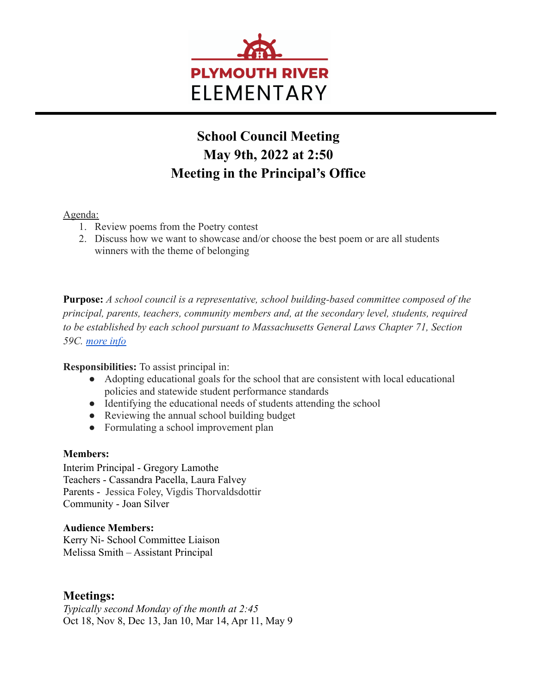

# **School Council Meeting May 9th, 2022 at 2:50 Meeting in the Principal's Office**

### Agenda:

- 1. Review poems from the Poetry contest
- 2. Discuss how we want to showcase and/or choose the best poem or are all students winners with the theme of belonging

**Purpose:** *A school council is a representative, school building-based committee composed of the principal, parents, teachers, community members and, at the secondary level, students, required to be established by each school pursuant to Massachusetts General Laws Chapter 71, Section 59C. [more info](http://www.doe.mass.edu/lawsregs/advisory/schoolcouncils/part1.html)*

#### **Responsibilities:** To assist principal in:

- Adopting educational goals for the school that are consistent with local educational policies and statewide student performance standards
- Identifying the educational needs of students attending the school
- Reviewing the annual school building budget
- Formulating a school improvement plan

#### **Members:**

Interim Principal - Gregory Lamothe Teachers - Cassandra Pacella, Laura Falvey Parents - Jessica Foley, Vigdis Thorvaldsdottir Community - Joan Silver

#### **Audience Members:**

Kerry Ni- School Committee Liaison Melissa Smith – Assistant Principal

## **Meetings:**

*Typically second Monday of the month at 2:45* Oct 18, Nov 8, Dec 13, Jan 10, Mar 14, Apr 11, May 9